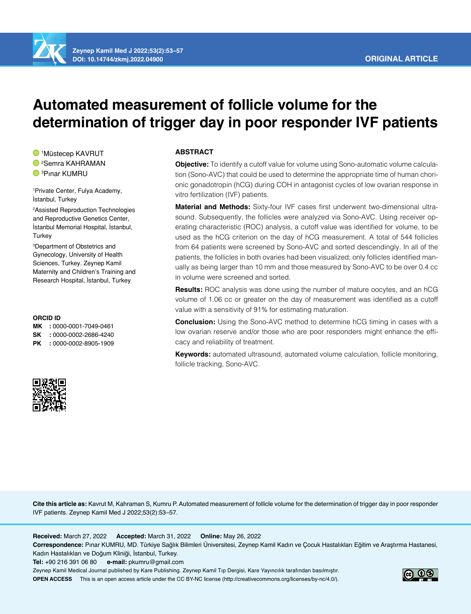

# **Automated measurement of follicle volume for the determination of trigger day in poor responder IVF patients**

1 Müstecep KAVRUT 2 Semra KAHRAMAN 3 Pınar KUMRU

1 Private Center, Fulya Academy, İstanbul, Turkey

2 Assisted Reproduction Technologies and Reproductive Genetics Center, İstanbul Memorial Hospital, İstanbul, **Turkey** 

3 Department of Obstetrics and Gynecology, University of Health Sciences, Turkey. Zeynep Kamil Maternity and Children's Training and Research Hospital, İstanbul, Turkey

#### **ORCID ID**

**MK :** 0000-0001-7049-0461 **SK :** 0000-0002-2686-4240 **PK :** 0000-0002-8905-1909



# **ABSTRACT**

**Objective:** To identify a cutoff value for volume using Sono-automatic volume calculation (Sono-AVC) that could be used to determine the appropriate time of human chorionic gonadotropin (hCG) during COH in antagonist cycles of low ovarian response in vitro fertilization (IVF) patients.

**Material and Methods:** Sixty-four IVF cases first underwent two-dimensional ultrasound. Subsequently, the follicles were analyzed via Sono-AVC. Using receiver operating characteristic (ROC) analysis, a cutoff value was identified for volume, to be used as the hCG criterion on the day of hCG measurement. A total of 544 follicles from 64 patients were screened by Sono-AVC and sorted descendingly. In all of the patients, the follicles in both ovaries had been visualized; only follicles identified manually as being larger than 10 mm and those measured by Sono-AVC to be over 0.4 cc in volume were screened and sorted.

**Results:** ROC analysis was done using the number of mature oocytes, and an hCG volume of 1.06 cc or greater on the day of measurement was identified as a cutoff value with a sensitivity of 91% for estimating maturation.

**Conclusion:** Using the Sono-AVC method to determine hCG timing in cases with a low ovarian reserve and/or those who are poor responders might enhance the efficacy and reliability of treatment.

**Keywords:** automated ultrasound, automated volume calculation, follicle monitoring, follicle tracking, Sono-AVC.

**Cite this article as:** Kavrut M, Kahraman S, Kumru P. Automated measurement of follicle volume for the determination of trigger day in poor responder IVF patients. Zeynep Kamil Med J 2022;53(2):53–57.

**Received:** March 27, 2022 **Accepted:** March 31, 2022 **Online:** May 26, 2022

**Correspondence:** Pınar KUMRU, MD. Türkiye Sağlık Bilimleri Üniversitesi, Zeynep Kamil Kadın ve Çocuk Hastalıkları Eğitim ve Araştırma Hastanesi, Kadın Hastalıkları ve Doğum Kliniği, İstanbul, Turkey.

**Tel:** +90 216 391 06 80 **e-mail:** pkumru@gmail.com

Zeynep Kamil Medical Journal published by Kare Publishing. Zeynep Kamil Tıp Dergisi, Kare Yayıncılık tarafından basılmıştır. **OPEN ACCESS** This is an open access article under the CC BY-NC license (http://creativecommons.org/licenses/by-nc/4.0/).

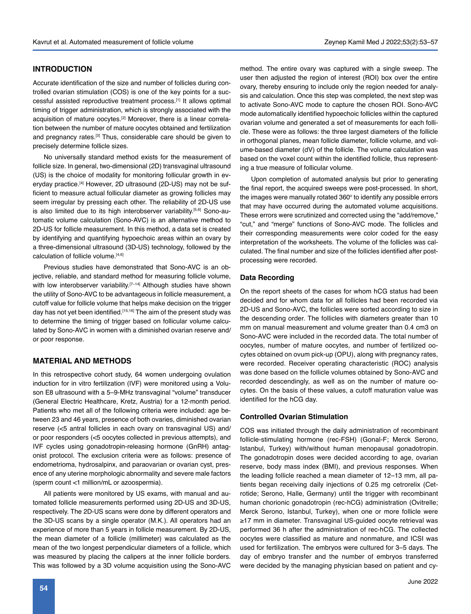# **INTRODUCTION**

Accurate identification of the size and number of follicles during controlled ovarian stimulation (COS) is one of the key points for a successful assisted reproductive treatment process.[1] It allows optimal timing of trigger administration, which is strongly associated with the acquisition of mature oocytes.[2] Moreover, there is a linear correlation between the number of mature oocytes obtained and fertilization and pregnancy rates.<sup>[3]</sup> Thus, considerable care should be given to precisely determine follicle sizes.

No universally standard method exists for the measurement of follicle size. In general, two-dimensional (2D) transvaginal ultrasound (US) is the choice of modality for monitoring follicular growth in everyday practice.<sup>[4]</sup> However, 2D ultrasound (2D-US) may not be sufficient to measure actual follicular diameter as growing follicles may seem irregular by pressing each other. The reliability of 2D-US use is also limited due to its high interobserver variability.<sup>[5,6]</sup> Sono-automatic volume calculation (Sono-AVC) is an alternative method to 2D-US for follicle measurement. In this method, a data set is created by identifying and quantifying hypoechoic areas within an ovary by a three-dimensional ultrasound (3D-US) technology, followed by the calculation of follicle volume.<sup>[4,6]</sup>

Previous studies have demonstrated that Sono-AVC is an objective, reliable, and standard method for measuring follicle volume, with low interobserver variability.<sup>[7-14]</sup> Although studies have shown the utility of Sono-AVC to be advantageous in follicle measurement, a cutoff value for follicle volume that helps make decision on the trigger day has not yet been identified.<sup>[15,16]</sup> The aim of the present study was to determine the timing of trigger based on follicular volume calculated by Sono-AVC in women with a diminished ovarian reserve and/ or poor response.

# **MATERIAL AND METHODS**

In this retrospective cohort study, 64 women undergoing ovulation induction for in vitro fertilization (IVF) were monitored using a Voluson E8 ultrasound with a 5–9-MHz transvaginal "volume" transducer (General Electric Healthcare, Kretz, Austria) for a 12-month period. Patients who met all of the following criteria were included: age between 23 and 46 years, presence of both ovaries, diminished ovarian reserve (<5 antral follicles in each ovary on transvaginal US) and/ or poor responders (<5 oocytes collected in previous attempts), and IVF cycles using gonadotropin-releasing hormone (GnRH) antagonist protocol. The exclusion criteria were as follows: presence of endometrioma, hydrosalpinx, and paraovarian or ovarian cyst, presence of any uterine morphologic abnormality and severe male factors (sperm count <1 million/mL or azoospermia).

All patients were monitored by US exams, with manual and automated follicle measurements performed using 2D-US and 3D-US, respectively. The 2D-US scans were done by different operators and the 3D-US scans by a single operator (M.K.). All operators had an experience of more than 5 years in follicle measurement. By 2D-US, the mean diameter of a follicle (millimeter) was calculated as the mean of the two longest perpendicular diameters of a follicle, which was measured by placing the calipers at the inner follicle borders. This was followed by a 3D volume acquisition using the Sono-AVC method. The entire ovary was captured with a single sweep. The user then adjusted the region of interest (ROI) box over the entire ovary, thereby ensuring to include only the region needed for analysis and calculation. Once this step was completed, the next step was to activate Sono-AVC mode to capture the chosen ROI. Sono-AVC mode automatically identified hypoechoic follicles within the captured ovarian volume and generated a set of measurements for each follicle. These were as follows: the three largest diameters of the follicle in orthogonal planes, mean follicle diameter, follicle volume, and volume-based diameter (dV) of the follicle. The volume calculation was based on the voxel count within the identified follicle, thus representing a true measure of follicular volume.

Upon completion of automated analysis but prior to generating the final report, the acquired sweeps were post-processed. In short, the images were manually rotated 360° to identify any possible errors that may have occurred during the automated volume acquisitions. These errors were scrutinized and corrected using the "add/remove," "cut," and "merge" functions of Sono-AVC mode. The follicles and their corresponding measurements were color coded for the easy interpretation of the worksheets. The volume of the follicles was calculated. The final number and size of the follicles identified after postprocessing were recorded.

#### **Data Recording**

On the report sheets of the cases for whom hCG status had been decided and for whom data for all follicles had been recorded via 2D-US and Sono-AVC, the follicles were sorted according to size in the descending order. The follicles with diameters greater than 10 mm on manual measurement and volume greater than 0.4 cm3 on Sono-AVC were included in the recorded data. The total number of oocytes, number of mature oocytes, and number of fertilized oocytes obtained on ovum pick-up (OPU), along with pregnancy rates, were recorded. Receiver operating characteristic (ROC) analysis was done based on the follicle volumes obtained by Sono-AVC and recorded descendingly, as well as on the number of mature oocytes. On the basis of these values, a cutoff maturation value was identified for the hCG day.

#### **Controlled Ovarian Stimulation**

COS was initiated through the daily administration of recombinant follicle-stimulating hormone (rec-FSH) (Gonal-F; Merck Serono, Istanbul, Turkey) with/without human menopausal gonadotropin. The gonadotropin doses were decided according to age, ovarian reserve, body mass index (BMI), and previous responses. When the leading follicle reached a mean diameter of 12–13 mm, all patients began receiving daily injections of 0.25 mg cetrorelix (Cetrotide; Serono, Halle, Germany) until the trigger with recombinant human chorionic gonadotropin (rec-hCG) administration (Ovitrelle; Merck Serono, Istanbul, Turkey), when one or more follicle were ≥17 mm in diameter. Transvaginal US-guided oocyte retrieval was performed 36 h after the administration of rec-hCG. The collected oocytes were classified as mature and nonmature, and ICSI was used for fertilization. The embryos were cultured for 3–5 days. The day of embryo transfer and the number of embryos transferred were decided by the managing physician based on patient and cy-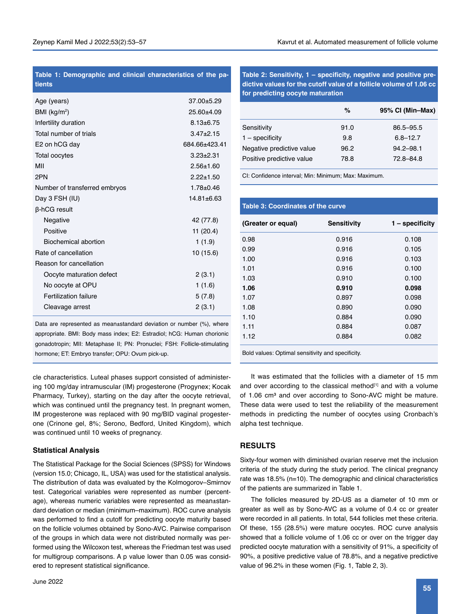### **Table 1: Demographic and clinical characteristics of the patients**

| Age (years)                   | $37.00 + 5.29$  |
|-------------------------------|-----------------|
| BMI ( $kg/m2$ )               | $25.60 + 4.09$  |
| Infertility duration          | $8.13 \pm 6.75$ |
| Total number of trials        | $3.47 \pm 2.15$ |
| E2 on hCG day                 | 684 66+423 41   |
| Total oocytes                 | $3.23 \pm 2.31$ |
| MII                           | $2.56 \pm 1.60$ |
| 2PN                           | $2.22 \pm 1.50$ |
| Number of transferred embryos | $1.78 \pm 0.46$ |
| Day 3 FSH (IU)                | $14.81 + 6.63$  |
| β-hCG result                  |                 |
| Negative                      | 42 (77.8)       |
| Positive                      | 11 (20.4)       |
| Biochemical abortion          | 1(1.9)          |
| Rate of cancellation          | 10 (15.6)       |
| Reason for cancellation       |                 |
| Oocyte maturation defect      | 2(3.1)          |
| No oocyte at OPU              | 1(1.6)          |
| <b>Fertilization failure</b>  | 5(7.8)          |
| Cleavage arrest               | 2(3.1)          |
|                               |                 |

Data are represented as mean±standard deviation or number (%), where appropriate. BMI: Body mass index; E2: Estradiol; hCG: Human chorionic gonadotropin; MII: Metaphase II; PN: Pronuclei; FSH: Follicle-stimulating hormone; ET: Embryo transfer; OPU: Ovum pick-up.

cle characteristics. Luteal phases support consisted of administering 100 mg/day intramuscular (IM) progesterone (Progynex; Kocak Pharmacy, Turkey), starting on the day after the oocyte retrieval, which was continued until the pregnancy test. In pregnant women, IM progesterone was replaced with 90 mg/BID vaginal progesterone (Crinone gel, 8%; Serono, Bedford, United Kingdom), which was continued until 10 weeks of pregnancy.

#### **Statistical Analysis**

The Statistical Package for the Social Sciences (SPSS) for Windows (version 15.0; Chicago, IL, USA) was used for the statistical analysis. The distribution of data was evaluated by the Kolmogorov–Smirnov test. Categorical variables were represented as number (percentage), whereas numeric variables were represented as mean±standard deviation or median (minimum–maximum). ROC curve analysis was performed to find a cutoff for predicting oocyte maturity based on the follicle volumes obtained by Sono-AVC. Pairwise comparison of the groups in which data were not distributed normally was performed using the Wilcoxon test, whereas the Friedman test was used for multigroup comparisons. A p value lower than 0.05 was considered to represent statistical significance.

**Table 2: Sensitivity, 1 – specificity, negative and positive predictive values for the cutoff value of a follicle volume of 1.06 cc for predicting oocyte maturation**

|                           | %    | 95% CI (Min-Max) |
|---------------------------|------|------------------|
| Sensitivity               | 91.0 | 86.5-95.5        |
| $1 -$ specificity         | 9.8  | $6.8 - 12.7$     |
| Negative predictive value | 96.2 | $94.2 - 98.1$    |
| Positive predictive value | 78.8 | 72.8-84.8        |

CI: Confidence interval; Min: Minimum; Max: Maximum.

### **Table 3: Coordinates of the curve**

| (Greater or equal) | <b>Sensitivity</b>        | $1 -$ specificity |
|--------------------|---------------------------|-------------------|
| 0.98               | 0.916                     | 0.108             |
| 0.99               | 0.916                     | 0.105             |
| 1.00               | 0.916                     | 0.103             |
| 1.01               | 0.916                     | 0.100             |
| 1.03               | 0.910                     | 0.100             |
| 1.06               | 0.910                     | 0.098             |
| 1.07               | 0.897                     | 0.098             |
| 1.08               | 0.890                     | 0.090             |
| 1.10               | 0.884                     | 0.090             |
| 1.11               | 0.884                     | 0.087             |
| 1.12               | 0.884                     | 0.082             |
| _                  | $\sim$ $\sim$<br>$\cdots$ |                   |

Bold values: Optimal sensitivity and specificity.

It was estimated that the follicles with a diameter of 15 mm and over according to the classical method<sup>[1]</sup> and with a volume of 1.06 cm<sup>3</sup> and over according to Sono-AVC might be mature. These data were used to test the reliability of the measurement methods in predicting the number of oocytes using Cronbach's alpha test technique.

# **RESULTS**

Sixty-four women with diminished ovarian reserve met the inclusion criteria of the study during the study period. The clinical pregnancy rate was 18.5% (n=10). The demographic and clinical characteristics of the patients are summarized in Table 1.

The follicles measured by 2D-US as a diameter of 10 mm or greater as well as by Sono-AVC as a volume of 0.4 cc or greater were recorded in all patients. In total, 544 follicles met these criteria. Of these, 155 (28.5%) were mature oocytes. ROC curve analysis showed that a follicle volume of 1.06 cc or over on the trigger day predicted oocyte maturation with a sensitivity of 91%, a specificity of 90%, a positive predictive value of 78.8%, and a negative predictive value of 96.2% in these women (Fig. 1, Table 2, 3).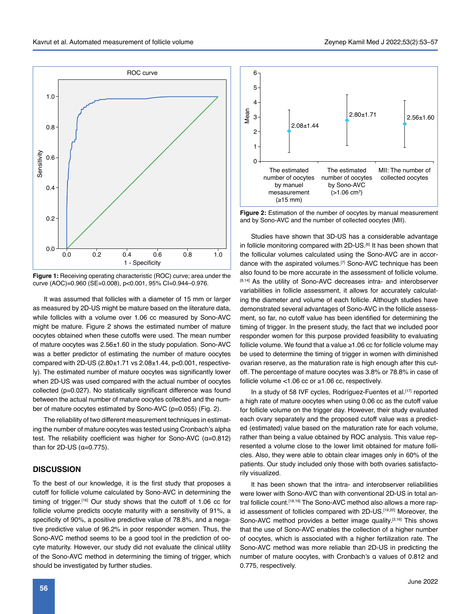

**Figure 1:** Receiving operating characteristic (ROC) curve; area under the curve (AOC)=0.960 (SE=0.008), p<0.001, 95% CI=0.944–0.976.

It was assumed that follicles with a diameter of 15 mm or larger as measured by 2D-US might be mature based on the literature data, while follicles with a volume over 1.06 cc measured by Sono-AVC might be mature. Figure 2 shows the estimated number of mature oocytes obtained when these cutoffs were used. The mean number of mature oocytes was 2.56±1.60 in the study population. Sono-AVC was a better predictor of estimating the number of mature oocytes compared with 2D-US (2.80±1.71 vs 2.08±1.44, p<0.001, respectively). The estimated number of mature oocytes was significantly lower when 2D-US was used compared with the actual number of oocytes collected (p=0.027). No statistically significant difference was found between the actual number of mature oocytes collected and the number of mature oocytes estimated by Sono-AVC (p=0.055) (Fig. 2).

The reliability of two different measurement techniques in estimating the number of mature oocytes was tested using Cronbach's alpha test. The reliability coefficient was higher for Sono-AVC (α=0.812) than for  $2D$ -US  $(a=0.775)$ .

# **DISCUSSION**

To the best of our knowledge, it is the first study that proposes a cutoff for follicle volume calculated by Sono-AVC in determining the timing of trigger.<sup>[16]</sup> Our study shows that the cutoff of 1.06 cc for follicle volume predicts oocyte maturity with a sensitivity of 91%, a specificity of 90%, a positive predictive value of 78.8%, and a negative predictive value of 96.2% in poor responder women. Thus, the Sono-AVC method seems to be a good tool in the prediction of oocyte maturity. However, our study did not evaluate the clinical utility of the Sono-AVC method in determining the timing of trigger, which should be investigated by further studies.



**Figure 2:** Estimation of the number of oocytes by manual measurement and by Sono-AVC and the number of collected oocytes (MII).

Studies have shown that 3D-US has a considerable advantage in follicle monitoring compared with 2D-US.[6] It has been shown that the follicular volumes calculated using the Sono-AVC are in accordance with the aspirated volumes.[7] Sono-AVC technique has been also found to be more accurate in the assessment of follicle volume. [8,14] As the utility of Sono-AVC decreases intra- and interobserver variabilities in follicle assessment, it allows for accurately calculating the diameter and volume of each follicle. Although studies have demonstrated several advantages of Sono-AVC in the follicle assessment, so far, no cutoff value has been identified for determining the timing of trigger. In the present study, the fact that we included poor responder women for this purpose provided feasibility to evaluating follicle volume. We found that a value ≥1.06 cc for follicle volume may be used to determine the timing of trigger in women with diminished ovarian reserve, as the maturation rate is high enough after this cutoff. The percentage of mature oocytes was 3.8% or 78.8% in case of follicle volume <1.06 cc or ≥1.06 cc, respectively. bested and the set of the set of the set of the set of the set of the set of the set of the set of the set of the set of the follicular volum dance with the asp also found to be measure ( $\geq 13.41$  As the utility contrai

In a study of 58 IVF cycles, Rodríguez-Fuentes et al.<sup>[17]</sup> reported a high rate of mature oocytes when using 0.06 cc as the cutoff value for follicle volume on the trigger day. However, their study evaluated each ovary separately and the proposed cutoff value was a predicted (estimated) value based on the maturation rate for each volume, rather than being a value obtained by ROC analysis. This value represented a volume close to the lower limit obtained for mature follicles. Also, they were able to obtain clear images only in 60% of the patients. Our study included only those with both ovaries satisfactorily visualized.

It has been shown that the intra- and interobserver reliabilities were lower with Sono-AVC than with conventional 2D-US in total antral follicle count.<sup>[18,19]</sup> The Sono-AVC method also allows a more rapid assessment of follicles compared with 2D-US.[19,20] Moreover, the Sono-AVC method provides a better image quality.<sup>[3,16]</sup> This shows that the use of Sono-AVC enables the collection of a higher number of oocytes, which is associated with a higher fertilization rate. The Sono-AVC method was more reliable than 2D-US in predicting the number of mature oocytes, with Cronbach's α values of 0.812 and 0.775, respectively.